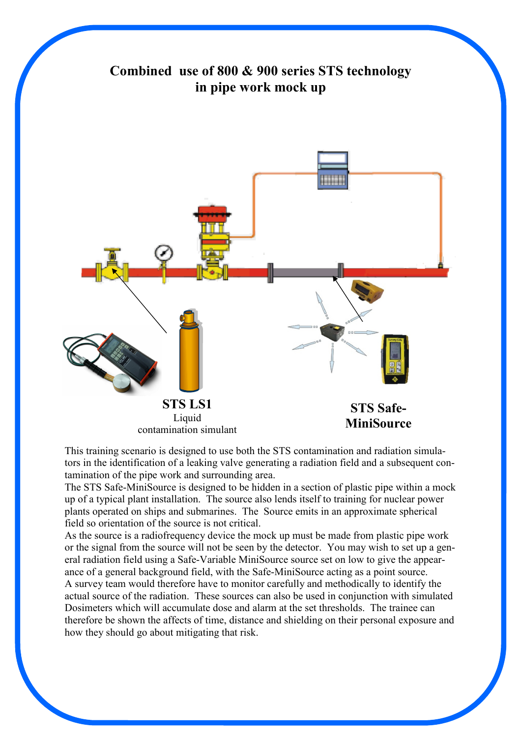## Combined use of 800 & 900 series STS technology in pipe work mock up STS LS1 Liquid contamination simulant STS Safe-**MiniSource**

This training scenario is designed to use both the STS contamination and radiation simulators in the identification of a leaking valve generating a radiation field and a subsequent contamination of the pipe work and surrounding area.

The STS Safe-MiniSource is designed to be hidden in a section of plastic pipe within a mock up of a typical plant installation. The source also lends itself to training for nuclear power plants operated on ships and submarines. The Source emits in an approximate spherical field so orientation of the source is not critical.

As the source is a radiofrequency device the mock up must be made from plastic pipe work or the signal from the source will not be seen by the detector. You may wish to set up a general radiation field using a Safe-Variable MiniSource source set on low to give the appearance of a general background field, with the Safe-MiniSource acting as a point source. A survey team would therefore have to monitor carefully and methodically to identify the actual source of the radiation. These sources can also be used in conjunction with simulated Dosimeters which will accumulate dose and alarm at the set thresholds. The trainee can therefore be shown the affects of time, distance and shielding on their personal exposure and how they should go about mitigating that risk.